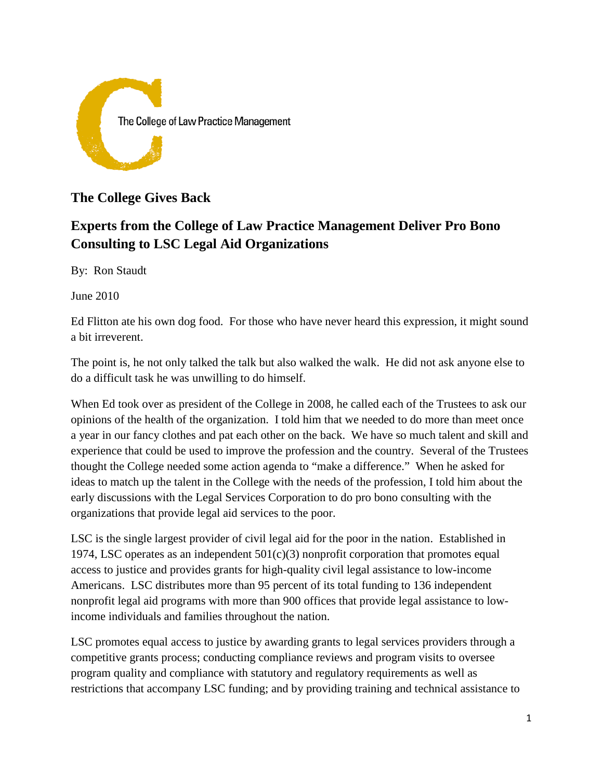

## **The College Gives Back**

# **Experts from the College of Law Practice Management Deliver Pro Bono Consulting to LSC Legal Aid Organizations**

By: Ron Staudt

June 2010

Ed Flitton ate his own dog food. For those who have never heard this expression, it might sound a bit irreverent.

The point is, he not only talked the talk but also walked the walk. He did not ask anyone else to do a difficult task he was unwilling to do himself.

When Ed took over as president of the College in 2008, he called each of the Trustees to ask our opinions of the health of the organization. I told him that we needed to do more than meet once a year in our fancy clothes and pat each other on the back. We have so much talent and skill and experience that could be used to improve the profession and the country. Several of the Trustees thought the College needed some action agenda to "make a difference." When he asked for ideas to match up the talent in the College with the needs of the profession, I told him about the early discussions with the Legal Services Corporation to do pro bono consulting with the organizations that provide legal aid services to the poor.

LSC is the single largest provider of civil legal aid for the poor in the nation. Established in 1974, LSC operates as an independent  $501(c)(3)$  nonprofit corporation that promotes equal access to justice and provides grants for high-quality civil legal assistance to low-income Americans. LSC distributes more than 95 percent of its total funding to 136 independent nonprofit legal aid programs with more than 900 offices that provide legal assistance to lowincome individuals and families throughout the nation.

LSC promotes equal access to justice by awarding grants to legal services providers through a competitive grants process; conducting compliance reviews and program visits to oversee program quality and compliance with statutory and regulatory requirements as well as restrictions that accompany LSC funding; and by providing training and technical assistance to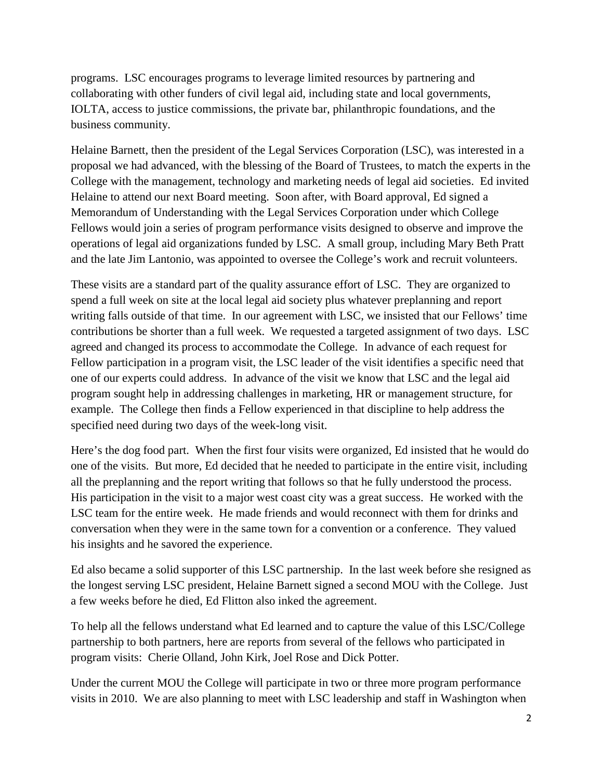programs. LSC encourages programs to leverage limited resources by partnering and collaborating with other funders of civil legal aid, including state and local governments, IOLTA, access to justice commissions, the private bar, philanthropic foundations, and the business community.

Helaine Barnett, then the president of the Legal Services Corporation (LSC), was interested in a proposal we had advanced, with the blessing of the Board of Trustees, to match the experts in the College with the management, technology and marketing needs of legal aid societies. Ed invited Helaine to attend our next Board meeting. Soon after, with Board approval, Ed signed a Memorandum of Understanding with the Legal Services Corporation under which College Fellows would join a series of program performance visits designed to observe and improve the operations of legal aid organizations funded by LSC. A small group, including Mary Beth Pratt and the late Jim Lantonio, was appointed to oversee the College's work and recruit volunteers.

These visits are a standard part of the quality assurance effort of LSC. They are organized to spend a full week on site at the local legal aid society plus whatever preplanning and report writing falls outside of that time. In our agreement with LSC, we insisted that our Fellows' time contributions be shorter than a full week. We requested a targeted assignment of two days. LSC agreed and changed its process to accommodate the College. In advance of each request for Fellow participation in a program visit, the LSC leader of the visit identifies a specific need that one of our experts could address. In advance of the visit we know that LSC and the legal aid program sought help in addressing challenges in marketing, HR or management structure, for example. The College then finds a Fellow experienced in that discipline to help address the specified need during two days of the week-long visit.

Here's the dog food part. When the first four visits were organized, Ed insisted that he would do one of the visits. But more, Ed decided that he needed to participate in the entire visit, including all the preplanning and the report writing that follows so that he fully understood the process. His participation in the visit to a major west coast city was a great success. He worked with the LSC team for the entire week. He made friends and would reconnect with them for drinks and conversation when they were in the same town for a convention or a conference. They valued his insights and he savored the experience.

Ed also became a solid supporter of this LSC partnership. In the last week before she resigned as the longest serving LSC president, Helaine Barnett signed a second MOU with the College. Just a few weeks before he died, Ed Flitton also inked the agreement.

To help all the fellows understand what Ed learned and to capture the value of this LSC/College partnership to both partners, here are reports from several of the fellows who participated in program visits: Cherie Olland, John Kirk, Joel Rose and Dick Potter.

Under the current MOU the College will participate in two or three more program performance visits in 2010. We are also planning to meet with LSC leadership and staff in Washington when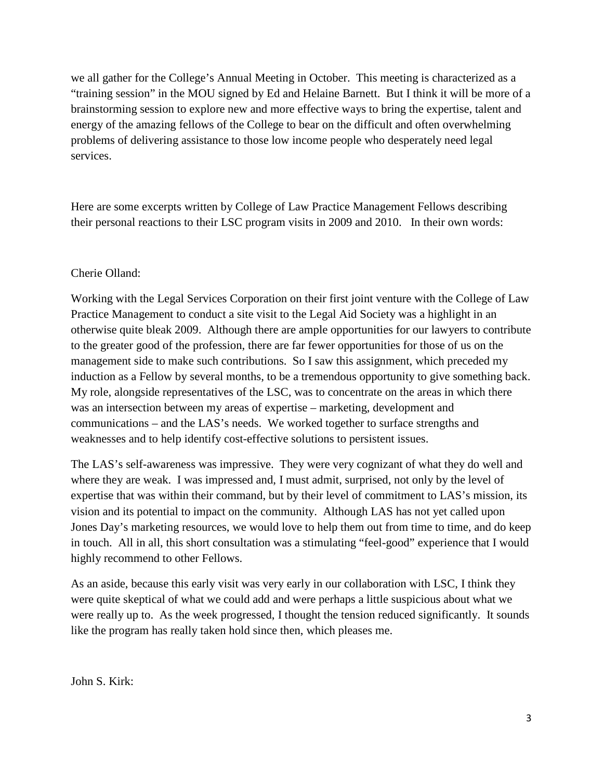we all gather for the College's Annual Meeting in October. This meeting is characterized as a "training session" in the MOU signed by Ed and Helaine Barnett. But I think it will be more of a brainstorming session to explore new and more effective ways to bring the expertise, talent and energy of the amazing fellows of the College to bear on the difficult and often overwhelming problems of delivering assistance to those low income people who desperately need legal services.

Here are some excerpts written by College of Law Practice Management Fellows describing their personal reactions to their LSC program visits in 2009 and 2010. In their own words:

#### Cherie Olland:

Working with the Legal Services Corporation on their first joint venture with the College of Law Practice Management to conduct a site visit to the Legal Aid Society was a highlight in an otherwise quite bleak 2009. Although there are ample opportunities for our lawyers to contribute to the greater good of the profession, there are far fewer opportunities for those of us on the management side to make such contributions. So I saw this assignment, which preceded my induction as a Fellow by several months, to be a tremendous opportunity to give something back. My role, alongside representatives of the LSC, was to concentrate on the areas in which there was an intersection between my areas of expertise – marketing, development and communications – and the LAS's needs. We worked together to surface strengths and weaknesses and to help identify cost-effective solutions to persistent issues.

The LAS's self-awareness was impressive. They were very cognizant of what they do well and where they are weak. I was impressed and, I must admit, surprised, not only by the level of expertise that was within their command, but by their level of commitment to LAS's mission, its vision and its potential to impact on the community. Although LAS has not yet called upon Jones Day's marketing resources, we would love to help them out from time to time, and do keep in touch. All in all, this short consultation was a stimulating "feel-good" experience that I would highly recommend to other Fellows.

As an aside, because this early visit was very early in our collaboration with LSC, I think they were quite skeptical of what we could add and were perhaps a little suspicious about what we were really up to. As the week progressed, I thought the tension reduced significantly. It sounds like the program has really taken hold since then, which pleases me.

John S. Kirk: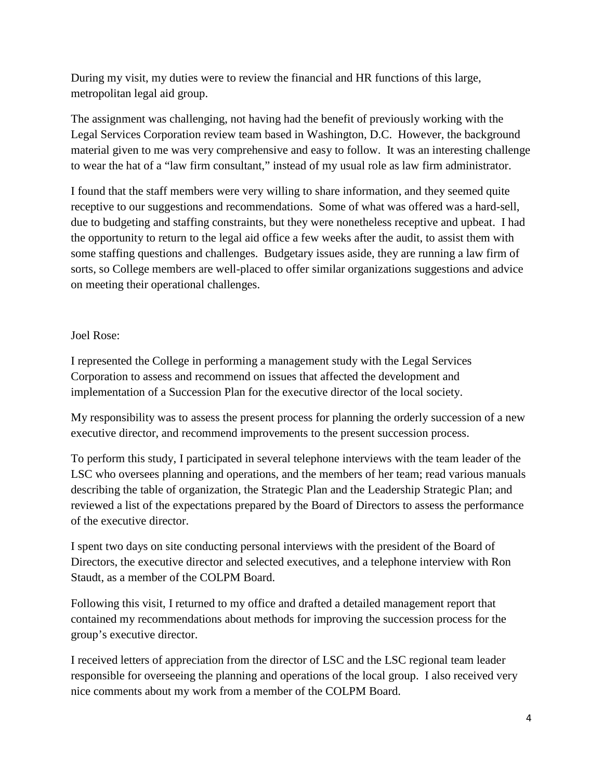During my visit, my duties were to review the financial and HR functions of this large, metropolitan legal aid group.

The assignment was challenging, not having had the benefit of previously working with the Legal Services Corporation review team based in Washington, D.C. However, the background material given to me was very comprehensive and easy to follow. It was an interesting challenge to wear the hat of a "law firm consultant," instead of my usual role as law firm administrator.

I found that the staff members were very willing to share information, and they seemed quite receptive to our suggestions and recommendations. Some of what was offered was a hard-sell, due to budgeting and staffing constraints, but they were nonetheless receptive and upbeat. I had the opportunity to return to the legal aid office a few weeks after the audit, to assist them with some staffing questions and challenges. Budgetary issues aside, they are running a law firm of sorts, so College members are well-placed to offer similar organizations suggestions and advice on meeting their operational challenges.

### Joel Rose:

I represented the College in performing a management study with the Legal Services Corporation to assess and recommend on issues that affected the development and implementation of a Succession Plan for the executive director of the local society.

My responsibility was to assess the present process for planning the orderly succession of a new executive director, and recommend improvements to the present succession process.

To perform this study, I participated in several telephone interviews with the team leader of the LSC who oversees planning and operations, and the members of her team; read various manuals describing the table of organization, the Strategic Plan and the Leadership Strategic Plan; and reviewed a list of the expectations prepared by the Board of Directors to assess the performance of the executive director.

I spent two days on site conducting personal interviews with the president of the Board of Directors, the executive director and selected executives, and a telephone interview with Ron Staudt, as a member of the COLPM Board.

Following this visit, I returned to my office and drafted a detailed management report that contained my recommendations about methods for improving the succession process for the group's executive director.

I received letters of appreciation from the director of LSC and the LSC regional team leader responsible for overseeing the planning and operations of the local group. I also received very nice comments about my work from a member of the COLPM Board.